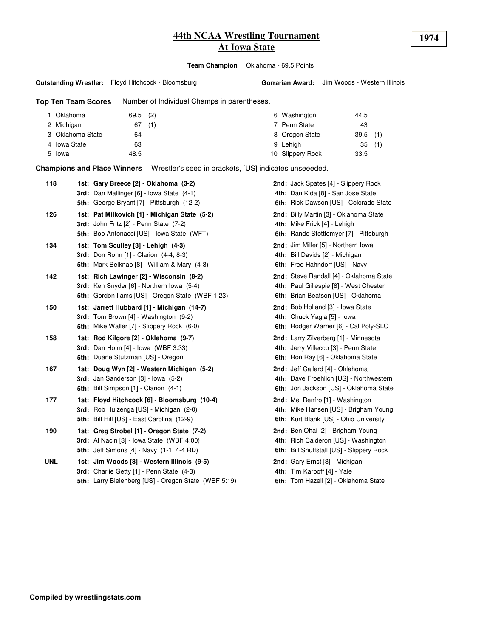# **44th NCAA Wrestling Tournament 1974 At Iowa State**

**Team Champion** Oklahoma - 69.5 Points

**Gorrarian Award:** Jim Woods - Western Illinois

**Outstanding Wrestler:** Floyd Hitchcock - Bloomsburg

#### **Top Ten Team Scores** Number of Individual Champs in parentheses.

| Oklahoma         | $69.5$ (2) |     | 6 Washington<br>44.5     |            |
|------------------|------------|-----|--------------------------|------------|
| 2 Michigan       | 67         | (1) | 7 Penn State<br>43       |            |
| 3 Oklahoma State | 64         |     | 8 Oregon State           | $39.5$ (1) |
| 4 Iowa State     | 63         |     | 9 Lehigh<br>35           | (1)        |
| 5 Iowa           | 48.5       |     | 10 Slippery Rock<br>33.5 |            |

**Champions and Place Winners** Wrestler's seed in brackets, [US] indicates unseeeded.

| 118        | 1st: Gary Breece [2] - Oklahoma (3-2)<br>3rd: Dan Mallinger [6] - Iowa State (4-1)<br><b>5th:</b> George Bryant [7] - Pittsburgh (12-2)                 | 2nd: Jack Spates [4] - Slippery Rock<br>4th: Dan Kida [8] - San Jose State<br>6th: Rick Dawson [US] - Colorado State    |
|------------|---------------------------------------------------------------------------------------------------------------------------------------------------------|-------------------------------------------------------------------------------------------------------------------------|
| 126        | 1st: Pat Milkovich [1] - Michigan State (5-2)<br><b>3rd:</b> John Fritz $[2]$ - Penn State $(7-2)$<br><b>5th:</b> Bob Antonacci [US] - Iowa State (WFT) | 2nd: Billy Martin [3] - Oklahoma State<br>4th: Mike Frick [4] - Lehigh<br>6th: Rande Stottlemyer [7] - Pittsburgh       |
| 134        | 1st: Tom Sculley [3] - Lehigh (4-3)<br><b>3rd:</b> Don Rohn [1] - Clarion (4-4, 8-3)<br>5th: Mark Belknap [8] - William & Mary (4-3)                    | 2nd: Jim Miller [5] - Northern Iowa<br>4th: Bill Davids [2] - Michigan<br>6th: Fred Hahndorf [US] - Navy                |
| 142        | 1st: Rich Lawinger [2] - Wisconsin (8-2)<br>3rd: Ken Snyder [6] - Northern Iowa (5-4)<br><b>5th:</b> Gordon liams [US] - Oregon State (WBF 1:23)        | 2nd: Steve Randall [4] - Oklahoma State<br>4th: Paul Gillespie [8] - West Chester<br>6th: Brian Beatson [US] - Oklahoma |
| 150        | 1st: Jarrett Hubbard [1] - Michigan (14-7)<br>3rd: Tom Brown [4] - Washington (9-2)<br><b>5th:</b> Mike Waller [7] - Slippery Rock (6-0)                | 2nd: Bob Holland [3] - Iowa State<br>4th: Chuck Yagla [5] - Iowa<br>6th: Rodger Warner [6] - Cal Poly-SLO               |
| 158        | 1st: Rod Kilgore [2] - Oklahoma (9-7)<br><b>3rd:</b> Dan Holm [4] - Iowa (WBF 3:33)<br>5th: Duane Stutzman [US] - Oregon                                | 2nd: Larry Zilverberg [1] - Minnesota<br>4th: Jerry Villecco [3] - Penn State<br>6th: Ron Ray [6] - Oklahoma State      |
| 167        | 1st: Doug Wyn [2] - Western Michigan (5-2)<br>3rd: Jan Sanderson [3] - Iowa (5-2)<br>5th: Bill Simpson [1] - Clarion (4-1)                              | 2nd: Jeff Callard [4] - Oklahoma<br>4th: Dave Froehlich [US] - Northwestern<br>6th: Jon Jackson [US] - Oklahoma State   |
| 177        | 1st: Floyd Hitchcock [6] - Bloomsburg (10-4)<br><b>3rd:</b> Rob Huizenga [US] - Michigan (2-0)<br>5th: Bill Hill [US] - East Carolina (12-9)            | 2nd: Mel Renfro [1] - Washington<br>4th: Mike Hansen [US] - Brigham Young<br>6th: Kurt Blank [US] - Ohio University     |
| 190        | 1st: Greg Strobel [1] - Oregon State (7-2)<br>3rd: Al Nacin [3] - Iowa State (WBF 4:00)<br><b>5th:</b> Jeff Simons [4] - Navy (1-1, 4-4 RD)             | 2nd: Ben Ohai [2] - Brigham Young<br>4th: Rich Calderon [US] - Washington<br>6th: Bill Shuffstall [US] - Slippery Rock  |
| <b>UNL</b> | 1st: Jim Woods [8] - Western Illinois (9-5)<br>3rd: Charlie Getty [1] - Penn State (4-3)<br>5th: Larry Bielenberg [US] - Oregon State (WBF 5:19)        | 2nd: Gary Ernst [3] - Michigan<br>4th: Tim Karpoff [4] - Yale<br>6th: Tom Hazell [2] - Oklahoma State                   |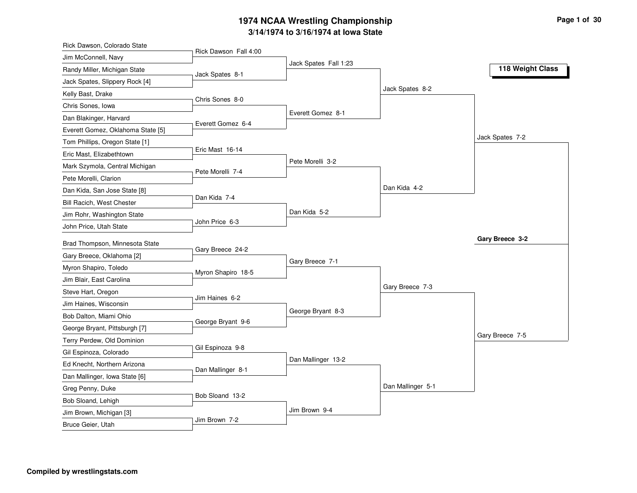#### **3/14/1974 to 3/16/1974 at Iowa State 1974 NCAA Wrestling Championship Page <sup>1</sup> of <sup>30</sup>**

| Rick Dawson, Colorado State                   |                       |                       |                   |                  |
|-----------------------------------------------|-----------------------|-----------------------|-------------------|------------------|
| Jim McConnell, Navy                           | Rick Dawson Fall 4:00 |                       |                   |                  |
| Randy Miller, Michigan State                  | Jack Spates 8-1       | Jack Spates Fall 1:23 |                   | 118 Weight Class |
| Jack Spates, Slippery Rock [4]                |                       |                       |                   |                  |
| Kelly Bast, Drake                             |                       |                       | Jack Spates 8-2   |                  |
| Chris Sones, Iowa                             | Chris Sones 8-0       |                       |                   |                  |
| Dan Blakinger, Harvard                        |                       | Everett Gomez 8-1     |                   |                  |
| Everett Gomez, Oklahoma State [5]             | Everett Gomez 6-4     |                       |                   |                  |
| Tom Phillips, Oregon State [1]                |                       |                       |                   | Jack Spates 7-2  |
| Eric Mast, Elizabethtown                      | Eric Mast 16-14       |                       |                   |                  |
| Mark Szymola, Central Michigan                |                       | Pete Morelli 3-2      |                   |                  |
| Pete Morelli, Clarion                         | Pete Morelli 7-4      |                       |                   |                  |
| Dan Kida, San Jose State [8]                  |                       |                       | Dan Kida 4-2      |                  |
| Bill Racich, West Chester                     | Dan Kida 7-4          |                       |                   |                  |
| Jim Rohr, Washington State                    |                       | Dan Kida 5-2          |                   |                  |
| John Price, Utah State                        | John Price 6-3        |                       |                   |                  |
| Brad Thompson, Minnesota State                |                       |                       |                   | Gary Breece 3-2  |
| Gary Breece, Oklahoma [2]                     | Gary Breece 24-2      |                       |                   |                  |
| Myron Shapiro, Toledo                         |                       | Gary Breece 7-1       |                   |                  |
| Jim Blair, East Carolina                      | Myron Shapiro 18-5    |                       |                   |                  |
| Steve Hart, Oregon                            |                       |                       | Gary Breece 7-3   |                  |
| Jim Haines, Wisconsin                         | Jim Haines 6-2        |                       |                   |                  |
| Bob Dalton, Miami Ohio                        |                       | George Bryant 8-3     |                   |                  |
| George Bryant, Pittsburgh [7]                 | George Bryant 9-6     |                       |                   |                  |
| Terry Perdew, Old Dominion                    |                       |                       |                   | Gary Breece 7-5  |
| Gil Espinoza, Colorado                        | Gil Espinoza 9-8      |                       |                   |                  |
| Ed Knecht, Northern Arizona                   |                       | Dan Mallinger 13-2    |                   |                  |
|                                               |                       |                       |                   |                  |
| Dan Mallinger, Iowa State [6]                 | Dan Mallinger 8-1     |                       |                   |                  |
| Greg Penny, Duke                              |                       |                       |                   |                  |
|                                               | Bob Sloand 13-2       |                       | Dan Mallinger 5-1 |                  |
| Bob Sloand, Lehigh<br>Jim Brown, Michigan [3] |                       | Jim Brown 9-4         |                   |                  |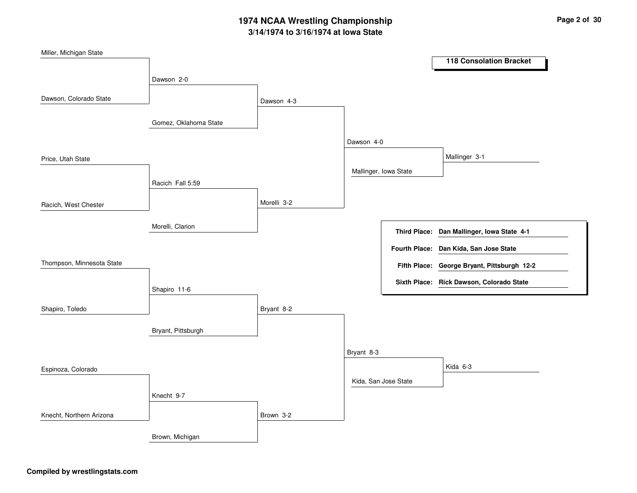# **3/14/1974 to 3/16/1974 at Iowa State 1974 NCAA Wrestling Championship Page <sup>2</sup> of <sup>30</sup>**

| Miller, Michigan State    |                       |             |                       |                     |                                             |
|---------------------------|-----------------------|-------------|-----------------------|---------------------|---------------------------------------------|
|                           |                       |             |                       |                     | <b>118 Consolation Bracket</b>              |
|                           | Dawson 2-0            |             |                       |                     |                                             |
|                           |                       |             |                       |                     |                                             |
| Dawson, Colorado State    |                       | Dawson 4-3  |                       |                     |                                             |
|                           |                       |             |                       |                     |                                             |
|                           | Gomez, Oklahoma State |             |                       |                     |                                             |
|                           |                       |             | Dawson 4-0            |                     |                                             |
| Price, Utah State         |                       |             |                       |                     | Mallinger 3-1                               |
|                           |                       |             | Mallinger, Iowa State |                     |                                             |
|                           | Racich Fall 5:59      |             |                       |                     |                                             |
|                           |                       |             |                       |                     |                                             |
| Racich, West Chester      |                       | Morelli 3-2 |                       |                     |                                             |
|                           |                       |             |                       |                     |                                             |
|                           | Morelli, Clarion      |             |                       | <b>Third Place:</b> | Dan Mallinger, Iowa State 4-1               |
|                           |                       |             |                       |                     | Fourth Place: Dan Kida, San Jose State      |
| Thompson, Minnesota State |                       |             |                       |                     | Fifth Place: George Bryant, Pittsburgh 12-2 |
|                           |                       |             |                       |                     |                                             |
|                           | Shapiro 11-6          |             |                       |                     | Sixth Place: Rick Dawson, Colorado State    |
|                           |                       |             |                       |                     |                                             |
| Shapiro, Toledo           |                       | Bryant 8-2  |                       |                     |                                             |
|                           |                       |             |                       |                     |                                             |
|                           | Bryant, Pittsburgh    |             |                       |                     |                                             |
|                           |                       |             | Bryant 8-3            |                     |                                             |
| Espinoza, Colorado        |                       |             |                       |                     | Kida 6-3                                    |
|                           |                       |             | Kida, San Jose State  |                     |                                             |
|                           |                       |             |                       |                     |                                             |
|                           | Knecht 9-7            |             |                       |                     |                                             |
| Knecht, Northern Arizona  |                       | Brown 3-2   |                       |                     |                                             |
|                           |                       |             |                       |                     |                                             |
|                           | Brown, Michigan       |             |                       |                     |                                             |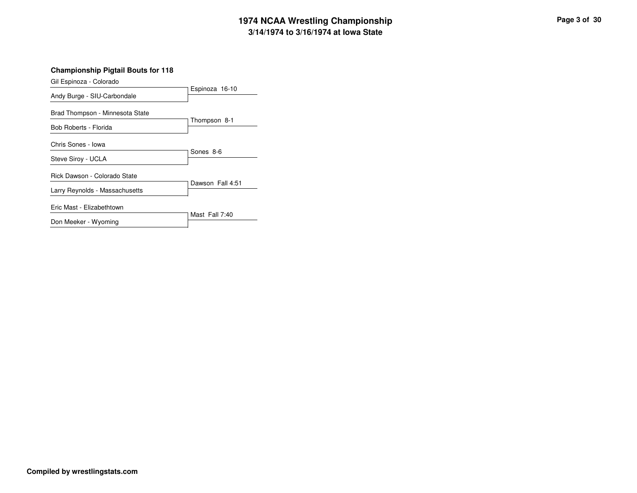# **3/14/1974 to 3/16/1974 at Iowa State 1974 NCAA Wrestling Championship Page <sup>3</sup> of <sup>30</sup>**

Espinoza 16-10 Gil Espinoza - Colorado Andy Burge - SIU-Carbondale Thompson 8-1 Brad Thompson - Minnesota State Bob Roberts - Florida Sones 8-6 Chris Sones - Iowa Steve Siroy - UCLA Dawson Fall 4:51 Rick Dawson - Colorado State Larry Reynolds - Massachusetts Mast Fall 7:40 Eric Mast - Elizabethtown Don Meeker - Wyoming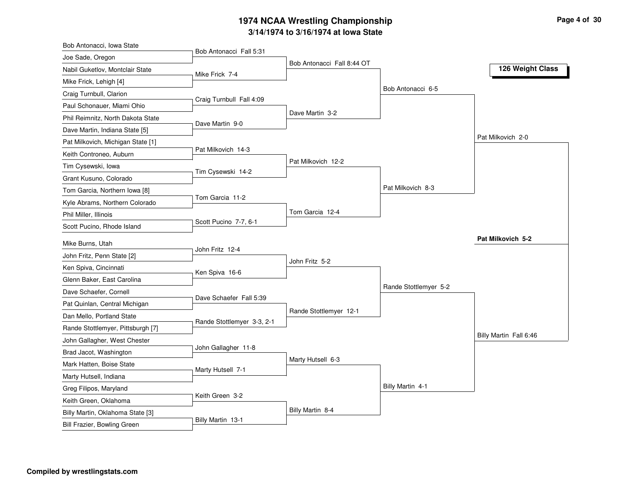#### **3/14/1974 to 3/16/1974 at Iowa State 1974 NCAA Wrestling Championship Page <sup>4</sup> of <sup>30</sup>**

| Bob Antonacci, Iowa State         |                            |                            |                       |                        |
|-----------------------------------|----------------------------|----------------------------|-----------------------|------------------------|
| Joe Sade, Oregon                  | Bob Antonacci Fall 5:31    |                            |                       |                        |
| Nabil Guketlov, Montclair State   | Mike Frick 7-4             | Bob Antonacci Fall 8:44 OT |                       | 126 Weight Class       |
| Mike Frick, Lehigh [4]            |                            |                            |                       |                        |
| Craig Turnbull, Clarion           |                            |                            | Bob Antonacci 6-5     |                        |
| Paul Schonauer, Miami Ohio        | Craig Turnbull Fall 4:09   |                            |                       |                        |
| Phil Reimnitz, North Dakota State |                            | Dave Martin 3-2            |                       |                        |
| Dave Martin, Indiana State [5]    | Dave Martin 9-0            |                            |                       |                        |
| Pat Milkovich, Michigan State [1] |                            |                            |                       | Pat Milkovich 2-0      |
| Keith Controneo, Auburn           | Pat Milkovich 14-3         |                            |                       |                        |
| Tim Cysewski, Iowa                |                            | Pat Milkovich 12-2         |                       |                        |
| Grant Kusuno, Colorado            | Tim Cysewski 14-2          |                            |                       |                        |
| Tom Garcia, Northern Iowa [8]     |                            |                            | Pat Milkovich 8-3     |                        |
| Kyle Abrams, Northern Colorado    | Tom Garcia 11-2            |                            |                       |                        |
| Phil Miller, Illinois             |                            | Tom Garcia 12-4            |                       |                        |
| Scott Pucino, Rhode Island        | Scott Pucino 7-7, 6-1      |                            |                       |                        |
|                                   |                            |                            |                       | Pat Milkovich 5-2      |
| Mike Burns, Utah                  | John Fritz 12-4            |                            |                       |                        |
| John Fritz, Penn State [2]        |                            | John Fritz 5-2             |                       |                        |
| Ken Spiva, Cincinnati             | Ken Spiva 16-6             |                            |                       |                        |
| Glenn Baker, East Carolina        |                            |                            | Rande Stottlemyer 5-2 |                        |
| Dave Schaefer, Cornell            | Dave Schaefer Fall 5:39    |                            |                       |                        |
| Pat Quinlan, Central Michigan     |                            | Rande Stottlemyer 12-1     |                       |                        |
| Dan Mello, Portland State         | Rande Stottlemyer 3-3, 2-1 |                            |                       |                        |
| Rande Stottlemyer, Pittsburgh [7] |                            |                            |                       | Billy Martin Fall 6:46 |
| John Gallagher, West Chester      | John Gallagher 11-8        |                            |                       |                        |
| Brad Jacot, Washington            |                            | Marty Hutsell 6-3          |                       |                        |
| Mark Hatten, Boise State          | Marty Hutsell 7-1          |                            |                       |                        |
| Marty Hutsell, Indiana            |                            |                            | Billy Martin 4-1      |                        |
| Greg Filipos, Maryland            | Keith Green 3-2            |                            |                       |                        |
| Keith Green, Oklahoma             |                            |                            |                       |                        |
| Billy Martin, Oklahoma State [3]  | Billy Martin 13-1          | Billy Martin 8-4           |                       |                        |
| Bill Frazier, Bowling Green       |                            |                            |                       |                        |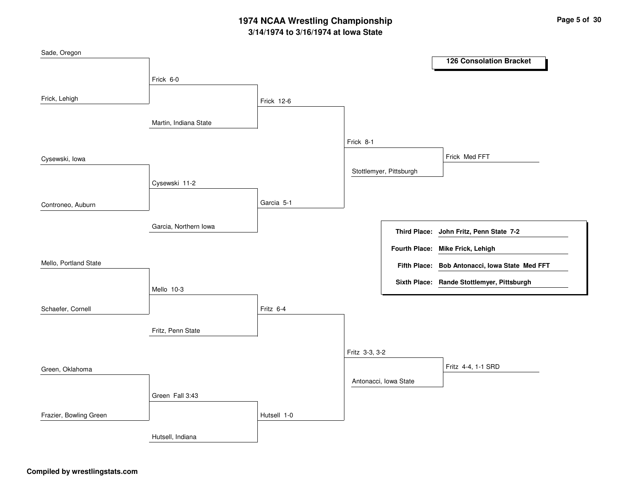# **3/14/1974 to 3/16/1974 at Iowa State 1974 NCAA Wrestling Championship Page <sup>5</sup> of <sup>30</sup>**

| Sade, Oregon           |                       |                   |                |                         |                                                |
|------------------------|-----------------------|-------------------|----------------|-------------------------|------------------------------------------------|
|                        |                       |                   |                |                         | <b>126 Consolation Bracket</b>                 |
|                        | Frick 6-0             |                   |                |                         |                                                |
|                        |                       |                   |                |                         |                                                |
| Frick, Lehigh          |                       | <b>Frick 12-6</b> |                |                         |                                                |
|                        |                       |                   |                |                         |                                                |
|                        | Martin, Indiana State |                   |                |                         |                                                |
|                        |                       |                   | Frick 8-1      |                         |                                                |
| Cysewski, lowa         |                       |                   |                |                         | Frick Med FFT                                  |
|                        |                       |                   |                | Stottlemyer, Pittsburgh |                                                |
|                        | Cysewski 11-2         |                   |                |                         |                                                |
|                        |                       |                   |                |                         |                                                |
| Controneo, Auburn      |                       | Garcia 5-1        |                |                         |                                                |
|                        |                       |                   |                |                         |                                                |
|                        | Garcia, Northern Iowa |                   |                |                         | Third Place: John Fritz, Penn State 7-2        |
|                        |                       |                   |                |                         |                                                |
|                        |                       |                   |                |                         | Fourth Place: Mike Frick, Lehigh               |
| Mello, Portland State  |                       |                   |                |                         | Fifth Place: Bob Antonacci, Iowa State Med FFT |
|                        |                       |                   |                |                         | Sixth Place: Rande Stottlemyer, Pittsburgh     |
|                        | Mello 10-3            |                   |                |                         |                                                |
|                        |                       |                   |                |                         |                                                |
| Schaefer, Cornell      |                       | Fritz 6-4         |                |                         |                                                |
|                        | Fritz, Penn State     |                   |                |                         |                                                |
|                        |                       |                   |                |                         |                                                |
|                        |                       |                   | Fritz 3-3, 3-2 |                         |                                                |
| Green, Oklahoma        |                       |                   |                |                         | Fritz 4-4, 1-1 SRD                             |
|                        |                       |                   |                | Antonacci, Iowa State   |                                                |
|                        |                       |                   |                |                         |                                                |
|                        | Green Fall 3:43       |                   |                |                         |                                                |
| Frazier, Bowling Green |                       | Hutsell 1-0       |                |                         |                                                |
|                        | Hutsell, Indiana      |                   |                |                         |                                                |
|                        |                       |                   |                |                         |                                                |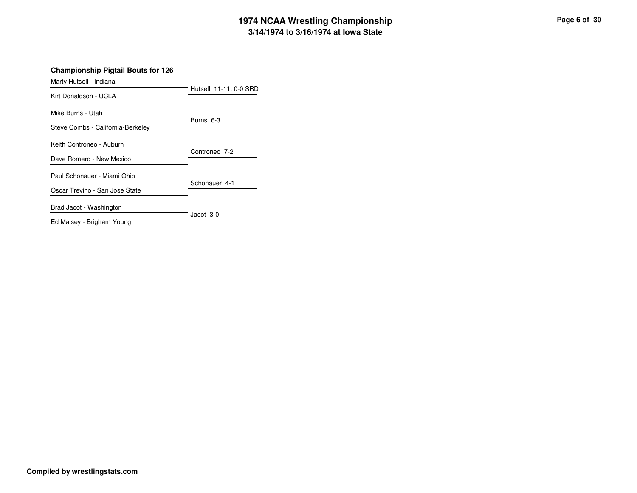# **3/14/1974 to 3/16/1974 at Iowa State 1974 NCAA Wrestling Championship Page <sup>6</sup> of <sup>30</sup>**

| Marty Hutsell - Indiana                              |                        |
|------------------------------------------------------|------------------------|
| Kirt Donaldson - UCLA                                | Hutsell 11-11, 0-0 SRD |
| Mike Burns - Utah                                    | Burns 6-3              |
| Steve Combs - California-Berkeley                    |                        |
| Keith Controneo - Auburn<br>Dave Romero - New Mexico | Controneo 7-2          |
| Paul Schonauer - Miami Ohio                          | Schonauer 4-1          |
| Oscar Trevino - San Jose State                       |                        |
| Brad Jacot - Washington                              |                        |
| Ed Maisey - Brigham Young                            | Jacot 3-0              |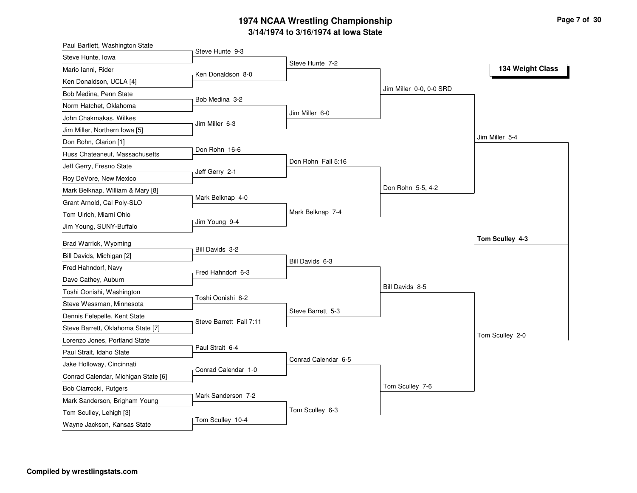#### **3/14/1974 to 3/16/1974 at Iowa State 1974 NCAA Wrestling Championship Page <sup>7</sup> of <sup>30</sup>**

| Paul Bartlett, Washington State     |                         |                     |                         |                  |
|-------------------------------------|-------------------------|---------------------|-------------------------|------------------|
| Steve Hunte, Iowa                   | Steve Hunte 9-3         |                     |                         |                  |
| Mario Ianni, Rider                  |                         | Steve Hunte 7-2     |                         | 134 Weight Class |
| Ken Donaldson, UCLA [4]             | Ken Donaldson 8-0       |                     |                         |                  |
| Bob Medina, Penn State              |                         |                     | Jim Miller 0-0, 0-0 SRD |                  |
| Norm Hatchet, Oklahoma              | Bob Medina 3-2          |                     |                         |                  |
| John Chakmakas, Wilkes              |                         | Jim Miller 6-0      |                         |                  |
| Jim Miller, Northern Iowa [5]       | Jim Miller 6-3          |                     |                         |                  |
| Don Rohn, Clarion [1]               |                         |                     |                         | Jim Miller 5-4   |
| Russ Chateaneuf, Massachusetts      | Don Rohn 16-6           |                     |                         |                  |
| Jeff Gerry, Fresno State            |                         | Don Rohn Fall 5:16  |                         |                  |
| Roy DeVore, New Mexico              | Jeff Gerry 2-1          |                     |                         |                  |
| Mark Belknap, William & Mary [8]    |                         |                     | Don Rohn 5-5, 4-2       |                  |
| Grant Arnold, Cal Poly-SLO          | Mark Belknap 4-0        |                     |                         |                  |
| Tom Ulrich, Miami Ohio              |                         | Mark Belknap 7-4    |                         |                  |
| Jim Young, SUNY-Buffalo             | Jim Young 9-4           |                     |                         |                  |
|                                     |                         |                     |                         | Tom Sculley 4-3  |
| Brad Warrick, Wyoming               | Bill Davids 3-2         |                     |                         |                  |
| Bill Davids, Michigan [2]           |                         | Bill Davids 6-3     |                         |                  |
| Fred Hahndorf, Navy                 | Fred Hahndorf 6-3       |                     |                         |                  |
| Dave Cathey, Auburn                 |                         |                     | Bill Davids 8-5         |                  |
| Toshi Oonishi, Washington           | Toshi Oonishi 8-2       |                     |                         |                  |
| Steve Wessman, Minnesota            |                         | Steve Barrett 5-3   |                         |                  |
| Dennis Felepelle, Kent State        | Steve Barrett Fall 7:11 |                     |                         |                  |
| Steve Barrett, Oklahoma State [7]   |                         |                     |                         | Tom Sculley 2-0  |
| Lorenzo Jones, Portland State       | Paul Strait 6-4         |                     |                         |                  |
| Paul Strait, Idaho State            |                         | Conrad Calendar 6-5 |                         |                  |
| Jake Holloway, Cincinnati           | Conrad Calendar 1-0     |                     |                         |                  |
| Conrad Calendar, Michigan State [6] |                         |                     |                         |                  |
| Bob Ciarrocki, Rutgers              | Mark Sanderson 7-2      |                     | Tom Sculley 7-6         |                  |
| Mark Sanderson, Brigham Young       |                         |                     |                         |                  |
| Tom Sculley, Lehigh [3]             | Tom Sculley 10-4        | Tom Sculley 6-3     |                         |                  |
| Wayne Jackson, Kansas State         |                         |                     |                         |                  |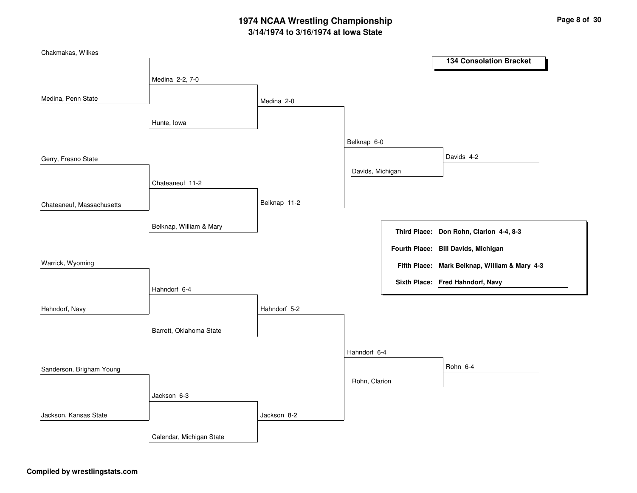# **3/14/1974 to 3/16/1974 at Iowa State 1974 NCAA Wrestling Championship Page <sup>8</sup> of <sup>30</sup>**

| Chakmakas, Wilkes         |                          |              |                  |                     | <b>134 Consolation Bracket</b>                |
|---------------------------|--------------------------|--------------|------------------|---------------------|-----------------------------------------------|
|                           | Medina 2-2, 7-0          |              |                  |                     |                                               |
| Medina, Penn State        |                          | Medina 2-0   |                  |                     |                                               |
|                           | Hunte, Iowa              |              |                  |                     |                                               |
|                           |                          |              | Belknap 6-0      |                     |                                               |
| Gerry, Fresno State       |                          |              |                  |                     | Davids 4-2                                    |
|                           | Chateaneuf 11-2          |              | Davids, Michigan |                     |                                               |
| Chateaneuf, Massachusetts |                          | Belknap 11-2 |                  |                     |                                               |
|                           | Belknap, William & Mary  |              |                  | <b>Third Place:</b> | Don Rohn, Clarion 4-4, 8-3                    |
|                           |                          |              |                  |                     | Fourth Place: Bill Davids, Michigan           |
| Warrick, Wyoming          |                          |              |                  |                     | Fifth Place: Mark Belknap, William & Mary 4-3 |
|                           | Hahndorf 6-4             |              |                  |                     | Sixth Place: Fred Hahndorf, Navy              |
| Hahndorf, Navy            |                          | Hahndorf 5-2 |                  |                     |                                               |
|                           | Barrett, Oklahoma State  |              |                  |                     |                                               |
|                           |                          |              | Hahndorf 6-4     |                     |                                               |
| Sanderson, Brigham Young  |                          |              |                  |                     | Rohn 6-4                                      |
|                           | Jackson 6-3              |              | Rohn, Clarion    |                     |                                               |
| Jackson, Kansas State     |                          | Jackson 8-2  |                  |                     |                                               |
|                           |                          |              |                  |                     |                                               |
|                           | Calendar, Michigan State |              |                  |                     |                                               |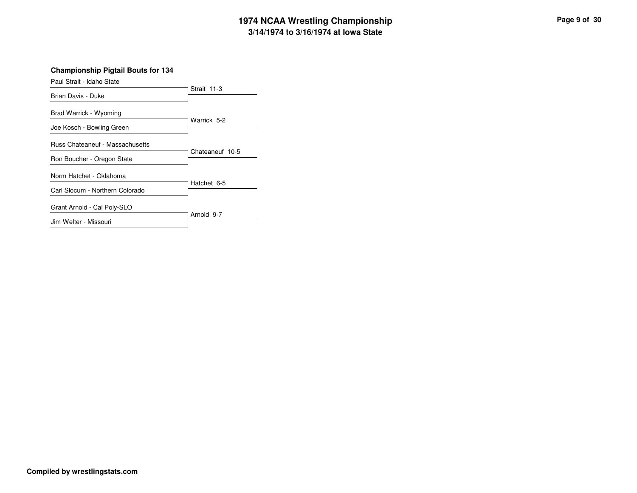# **3/14/1974 to 3/16/1974 at Iowa State 1974 NCAA Wrestling Championship Page <sup>9</sup> of <sup>30</sup>**

**Championship Pigtail Bouts for 134**

| Paul Strait - Idaho State              |                 |
|----------------------------------------|-----------------|
| Brian Davis - Duke                     | Strait 11-3     |
| Brad Warrick - Wyoming                 |                 |
| Joe Kosch - Bowling Green              | Warrick 5-2     |
| <b>Russ Chateaneuf - Massachusetts</b> | Chateaneuf 10-5 |
| Ron Boucher - Oregon State             |                 |
| Norm Hatchet - Oklahoma                | Hatchet 6-5     |
| Carl Slocum - Northern Colorado        |                 |
| Grant Arnold - Cal Poly-SLO            | Arnold 9-7      |
| Jim Welter - Missouri                  |                 |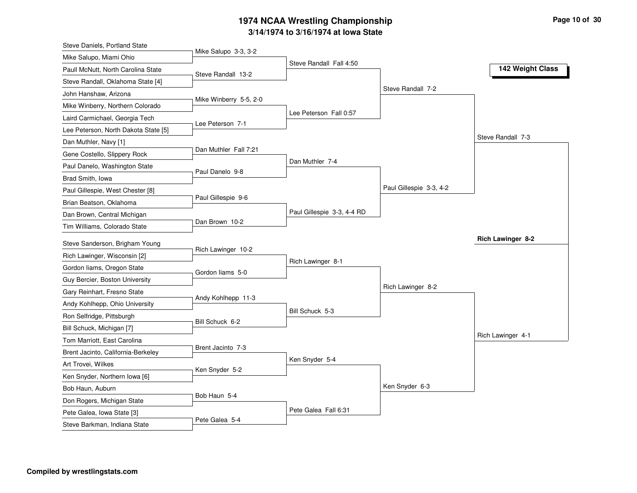### **3/14/1974 to 3/16/1974 at Iowa State 1974 NCAA Wrestling Championship Page <sup>10</sup> of <sup>30</sup>**

| Steve Daniels, Portland State                     |                        |                            |                         |                   |
|---------------------------------------------------|------------------------|----------------------------|-------------------------|-------------------|
| Mike Salupo, Miami Ohio                           | Mike Salupo 3-3, 3-2   |                            |                         |                   |
| Paull McNutt, North Carolina State                | Steve Randall 13-2     | Steve Randall Fall 4:50    |                         | 142 Weight Class  |
| Steve Randall, Oklahoma State [4]                 |                        |                            |                         |                   |
| John Hanshaw, Arizona                             |                        |                            | Steve Randall 7-2       |                   |
| Mike Winberry, Northern Colorado                  | Mike Winberry 5-5, 2-0 |                            |                         |                   |
| Laird Carmichael, Georgia Tech                    |                        | Lee Peterson Fall 0:57     |                         |                   |
| Lee Peterson, North Dakota State [5]              | Lee Peterson 7-1       |                            |                         |                   |
| Dan Muthler, Navy [1]                             |                        |                            |                         | Steve Randall 7-3 |
| Gene Costello, Slippery Rock                      | Dan Muthler Fall 7:21  |                            |                         |                   |
| Paul Danelo, Washington State                     |                        | Dan Muthler 7-4            |                         |                   |
| Brad Smith, Iowa                                  | Paul Danelo 9-8        |                            |                         |                   |
| Paul Gillespie, West Chester [8]                  |                        |                            | Paul Gillespie 3-3, 4-2 |                   |
| Brian Beatson, Oklahoma                           | Paul Gillespie 9-6     |                            |                         |                   |
| Dan Brown, Central Michigan                       |                        | Paul Gillespie 3-3, 4-4 RD |                         |                   |
| Tim Williams, Colorado State                      | Dan Brown 10-2         |                            |                         |                   |
| Steve Sanderson, Brigham Young                    |                        |                            |                         | Rich Lawinger 8-2 |
| Rich Lawinger, Wisconsin [2]                      | Rich Lawinger 10-2     |                            |                         |                   |
| Gordon liams, Oregon State                        |                        | Rich Lawinger 8-1          |                         |                   |
| Guy Bercier, Boston University                    | Gordon liams 5-0       |                            |                         |                   |
| Gary Reinhart, Fresno State                       |                        |                            | Rich Lawinger 8-2       |                   |
| Andy Kohlhepp, Ohio University                    | Andy Kohlhepp 11-3     |                            |                         |                   |
| Ron Selfridge, Pittsburgh                         |                        | Bill Schuck 5-3            |                         |                   |
| Bill Schuck, Michigan [7]                         | Bill Schuck 6-2        |                            |                         |                   |
| Tom Marriott, East Carolina                       |                        |                            |                         | Rich Lawinger 4-1 |
| Brent Jacinto, California-Berkeley                | Brent Jacinto 7-3      |                            |                         |                   |
| Art Trovei, Wilkes                                |                        | Ken Snyder 5-4             |                         |                   |
|                                                   | Ken Snyder 5-2         |                            |                         |                   |
| Ken Snyder, Northern Iowa [6]<br>Bob Haun, Auburn |                        |                            | Ken Snyder 6-3          |                   |
| Don Rogers, Michigan State                        | Bob Haun 5-4           |                            |                         |                   |
|                                                   |                        |                            |                         |                   |
| Pete Galea, Iowa State [3]                        |                        | Pete Galea Fall 6:31       |                         |                   |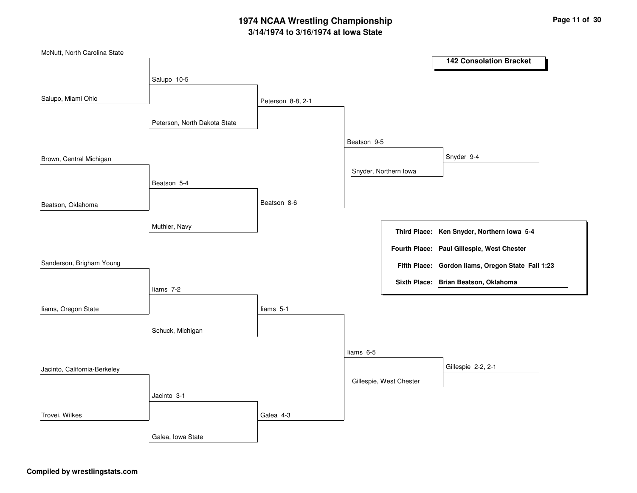# **3/14/1974 to 3/16/1974 at Iowa State 1974 NCAA Wrestling Championship Page <sup>11</sup> of <sup>30</sup>**

| McNutt, North Carolina State |                              |                   |             |                         | <b>142 Consolation Bracket</b>                    |
|------------------------------|------------------------------|-------------------|-------------|-------------------------|---------------------------------------------------|
|                              |                              |                   |             |                         |                                                   |
|                              | Salupo 10-5                  |                   |             |                         |                                                   |
| Salupo, Miami Ohio           |                              | Peterson 8-8, 2-1 |             |                         |                                                   |
|                              | Peterson, North Dakota State |                   |             |                         |                                                   |
|                              |                              |                   | Beatson 9-5 |                         |                                                   |
| Brown, Central Michigan      |                              |                   |             |                         | Snyder 9-4                                        |
|                              |                              |                   |             | Snyder, Northern Iowa   |                                                   |
|                              | Beatson 5-4                  |                   |             |                         |                                                   |
| Beatson, Oklahoma            |                              | Beatson 8-6       |             |                         |                                                   |
|                              | Muthler, Navy                |                   |             |                         | Third Place: Ken Snyder, Northern Iowa 5-4        |
|                              |                              |                   |             |                         | Fourth Place: Paul Gillespie, West Chester        |
| Sanderson, Brigham Young     |                              |                   |             |                         |                                                   |
|                              |                              |                   |             |                         | Fifth Place: Gordon liams, Oregon State Fall 1:23 |
|                              | liams 7-2                    |                   |             |                         | Sixth Place: Brian Beatson, Oklahoma              |
| liams, Oregon State          |                              | liams 5-1         |             |                         |                                                   |
|                              | Schuck, Michigan             |                   |             |                         |                                                   |
|                              |                              |                   |             |                         |                                                   |
|                              |                              |                   | liams 6-5   |                         |                                                   |
| Jacinto, California-Berkeley |                              |                   |             |                         | Gillespie 2-2, 2-1                                |
|                              |                              |                   |             | Gillespie, West Chester |                                                   |
|                              | Jacinto 3-1                  |                   |             |                         |                                                   |
| Trovei, Wilkes               |                              | Galea 4-3         |             |                         |                                                   |
|                              | Galea, Iowa State            |                   |             |                         |                                                   |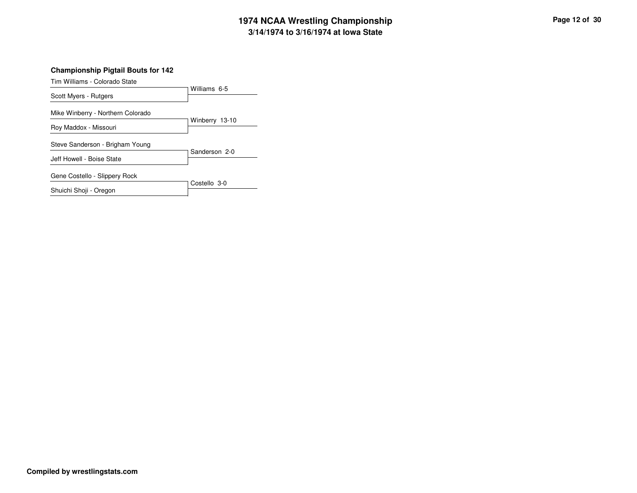# **3/14/1974 to 3/16/1974 at Iowa State 1974 NCAA Wrestling Championship Page <sup>12</sup> of <sup>30</sup>**

#### **Championship Pigtail Bouts for 142**

Tim Williams - Colorado State

|                                   | Williams 6-5   |
|-----------------------------------|----------------|
| Scott Myers - Rutgers             |                |
| Mike Winberry - Northern Colorado |                |
| Roy Maddox - Missouri             | Winberry 13-10 |
| Steve Sanderson - Brigham Young   | Sanderson 2-0  |
| Jeff Howell - Boise State         |                |
| Gene Costello - Slippery Rock     |                |
| Shuichi Shoji - Oregon            | Costello 3-0   |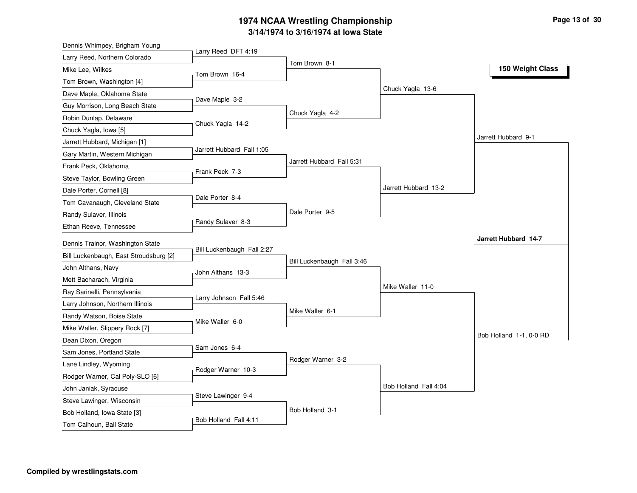# **3/14/1974 to 3/16/1974 at Iowa State 1974 NCAA Wrestling Championship Page <sup>13</sup> of <sup>30</sup>**

| Dennis Whimpey, Brigham Young          |                            |                            |                       |                         |
|----------------------------------------|----------------------------|----------------------------|-----------------------|-------------------------|
| Larry Reed, Northern Colorado          | Larry Reed DFT 4:19        |                            |                       |                         |
| Mike Lee, Wilkes                       | Tom Brown 16-4             | Tom Brown 8-1              |                       | 150 Weight Class        |
| Tom Brown, Washington [4]              |                            |                            |                       |                         |
| Dave Maple, Oklahoma State             |                            |                            | Chuck Yagla 13-6      |                         |
| Guy Morrison, Long Beach State         | Dave Maple 3-2             |                            |                       |                         |
| Robin Dunlap, Delaware                 |                            | Chuck Yagla 4-2            |                       |                         |
| Chuck Yagla, Iowa [5]                  | Chuck Yagla 14-2           |                            |                       |                         |
| Jarrett Hubbard, Michigan [1]          |                            |                            |                       | Jarrett Hubbard 9-1     |
| Gary Martin, Western Michigan          | Jarrett Hubbard Fall 1:05  |                            |                       |                         |
| Frank Peck, Oklahoma                   |                            | Jarrett Hubbard Fall 5:31  |                       |                         |
| Steve Taylor, Bowling Green            | Frank Peck 7-3             |                            |                       |                         |
| Dale Porter, Cornell [8]               |                            |                            | Jarrett Hubbard 13-2  |                         |
| Tom Cavanaugh, Cleveland State         | Dale Porter 8-4            |                            |                       |                         |
| Randy Sulaver, Illinois                |                            | Dale Porter 9-5            |                       |                         |
| Ethan Reeve, Tennessee                 | Randy Sulaver 8-3          |                            |                       |                         |
| Dennis Trainor, Washington State       |                            |                            |                       | Jarrett Hubbard 14-7    |
| Bill Luckenbaugh, East Stroudsburg [2] | Bill Luckenbaugh Fall 2:27 |                            |                       |                         |
| John Althans, Navy                     |                            | Bill Luckenbaugh Fall 3:46 |                       |                         |
| Mett Bacharach, Virginia               | John Althans 13-3          |                            |                       |                         |
| Ray Sarinelli, Pennsylvania            |                            |                            | Mike Waller 11-0      |                         |
| Larry Johnson, Northern Illinois       | Larry Johnson Fall 5:46    |                            |                       |                         |
| Randy Watson, Boise State              |                            | Mike Waller 6-1            |                       |                         |
| Mike Waller, Slippery Rock [7]         | Mike Waller 6-0            |                            |                       |                         |
| Dean Dixon, Oregon                     |                            |                            |                       | Bob Holland 1-1, 0-0 RD |
| Sam Jones, Portland State              | Sam Jones 6-4              |                            |                       |                         |
| Lane Lindley, Wyoming                  |                            | Rodger Warner 3-2          |                       |                         |
|                                        | Rodger Warner 10-3         |                            |                       |                         |
| Rodger Warner, Cal Poly-SLO [6]        |                            |                            | Bob Holland Fall 4:04 |                         |
| John Janiak, Syracuse                  | Steve Lawinger 9-4         |                            |                       |                         |
| Steve Lawinger, Wisconsin              |                            | Bob Holland 3-1            |                       |                         |
| Bob Holland, Iowa State [3]            | Bob Holland Fall 4:11      |                            |                       |                         |
| Tom Calhoun, Ball State                |                            |                            |                       |                         |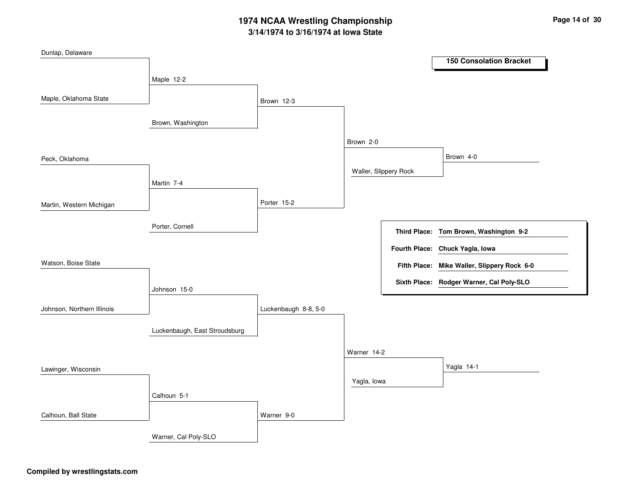# **3/14/1974 to 3/16/1974 at Iowa State 1974 NCAA Wrestling Championship Page <sup>14</sup> of <sup>30</sup>**

| Dunlap, Delaware           |                               |                      |             |                       | <b>150 Consolation Bracket</b>              |
|----------------------------|-------------------------------|----------------------|-------------|-----------------------|---------------------------------------------|
|                            | Maple 12-2                    |                      |             |                       |                                             |
| Maple, Oklahoma State      |                               | Brown 12-3           |             |                       |                                             |
|                            | Brown, Washington             |                      |             |                       |                                             |
|                            |                               |                      | Brown 2-0   |                       |                                             |
| Peck, Oklahoma             |                               |                      |             |                       | Brown 4-0                                   |
|                            | Martin 7-4                    |                      |             | Waller, Slippery Rock |                                             |
| Martin, Western Michigan   |                               | Porter 15-2          |             |                       |                                             |
|                            | Porter, Cornell               |                      |             |                       | Third Place: Tom Brown, Washington 9-2      |
|                            |                               |                      |             |                       | Fourth Place: Chuck Yagla, Iowa             |
| Watson, Boise State        |                               |                      |             |                       | Fifth Place: Mike Waller, Slippery Rock 6-0 |
|                            | Johnson 15-0                  |                      |             |                       | Sixth Place: Rodger Warner, Cal Poly-SLO    |
| Johnson, Northern Illinois |                               | Luckenbaugh 8-8, 5-0 |             |                       |                                             |
|                            | Luckenbaugh, East Stroudsburg |                      |             |                       |                                             |
|                            |                               |                      | Warner 14-2 |                       |                                             |
| Lawinger, Wisconsin        |                               |                      |             |                       | Yagla 14-1                                  |
|                            |                               |                      | Yagla, lowa |                       |                                             |
|                            | Calhoun 5-1                   |                      |             |                       |                                             |
| Calhoun, Ball State        |                               | Warner 9-0           |             |                       |                                             |
|                            | Warner, Cal Poly-SLO          |                      |             |                       |                                             |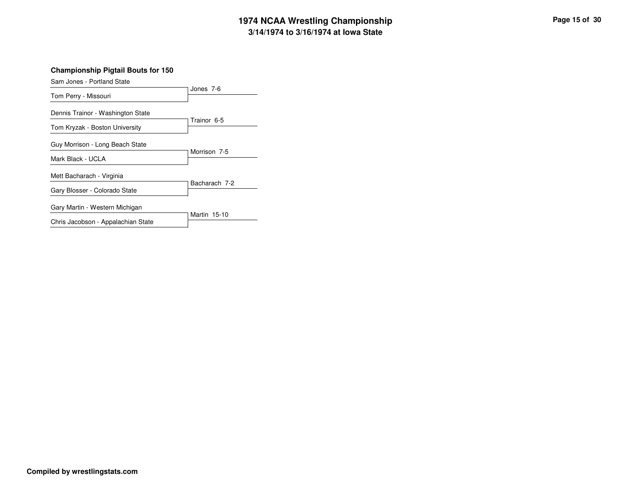# **3/14/1974 to 3/16/1974 at Iowa State 1974 NCAA Wrestling Championship Page <sup>15</sup> of <sup>30</sup>**

**Championship Pigtail Bouts for 150**

| Sam Jones - Portland State         |               |
|------------------------------------|---------------|
| Tom Perry - Missouri               | Jones 7-6     |
| Dennis Trainor - Washington State  | Trainor 6-5   |
| Tom Kryzak - Boston University     |               |
| Guy Morrison - Long Beach State    |               |
| Mark Black - UCLA                  | Morrison 7-5  |
| Mett Bacharach - Virginia          |               |
| Gary Blosser - Colorado State      | Bacharach 7-2 |
| Gary Martin - Western Michigan     |               |
| Chris Jacobson - Appalachian State | Martin 15-10  |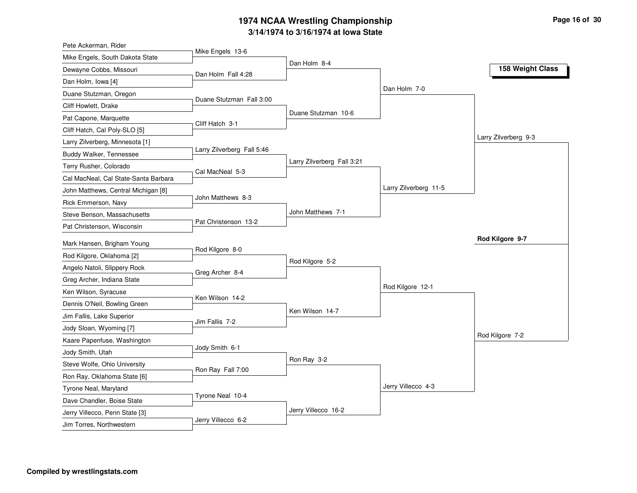#### **3/14/1974 to 3/16/1974 at Iowa State 1974 NCAA Wrestling Championship Page <sup>16</sup> of <sup>30</sup>**

| Pete Ackerman, Rider                 |                            |                            |                       |                      |
|--------------------------------------|----------------------------|----------------------------|-----------------------|----------------------|
| Mike Engels, South Dakota State      | Mike Engels 13-6           |                            |                       |                      |
| Dewayne Cobbs, Missouri              | Dan Holm Fall 4:28         | Dan Holm 8-4               |                       | 158 Weight Class     |
| Dan Holm, Iowa [4]                   |                            |                            |                       |                      |
| Duane Stutzman, Oregon               |                            |                            | Dan Holm 7-0          |                      |
| Cliff Howlett, Drake                 | Duane Stutzman Fall 3:00   |                            |                       |                      |
| Pat Capone, Marquette                |                            | Duane Stutzman 10-6        |                       |                      |
| Cliff Hatch, Cal Poly-SLO [5]        | Cliff Hatch 3-1            |                            |                       |                      |
| Larry Zilverberg, Minnesota [1]      |                            |                            |                       | Larry Zilverberg 9-3 |
| Buddy Walker, Tennessee              | Larry Zilverberg Fall 5:46 |                            |                       |                      |
| Terry Rusher, Colorado               |                            | Larry Zilverberg Fall 3:21 |                       |                      |
| Cal MacNeal, Cal State-Santa Barbara | Cal MacNeal 5-3            |                            |                       |                      |
| John Matthews, Central Michigan [8]  |                            |                            | Larry Zilverberg 11-5 |                      |
| Rick Emmerson, Navy                  | John Matthews 8-3          |                            |                       |                      |
| Steve Benson, Massachusetts          |                            | John Matthews 7-1          |                       |                      |
| Pat Christenson, Wisconsin           | Pat Christenson 13-2       |                            |                       |                      |
| Mark Hansen, Brigham Young           |                            |                            |                       | Rod Kilgore 9-7      |
| Rod Kilgore, Oklahoma [2]            | Rod Kilgore 8-0            |                            |                       |                      |
| Angelo Natoli, Slippery Rock         |                            | Rod Kilgore 5-2            |                       |                      |
| Greg Archer, Indiana State           | Greg Archer 8-4            |                            |                       |                      |
| Ken Wilson, Syracuse                 |                            |                            | Rod Kilgore 12-1      |                      |
| Dennis O'Neil, Bowling Green         | Ken Wilson 14-2            |                            |                       |                      |
| Jim Fallis, Lake Superior            |                            | Ken Wilson 14-7            |                       |                      |
| Jody Sloan, Wyoming [7]              | Jim Fallis 7-2             |                            |                       |                      |
| Kaare Papenfuse, Washington          |                            |                            |                       | Rod Kilgore 7-2      |
| Jody Smith, Utah                     | Jody Smith 6-1             |                            |                       |                      |
| Steve Wolfe, Ohio University         |                            | Ron Ray 3-2                |                       |                      |
| Ron Ray, Oklahoma State [6]          | Ron Ray Fall 7:00          |                            |                       |                      |
| Tyrone Neal, Maryland                |                            |                            | Jerry Villecco 4-3    |                      |
| Dave Chandler, Boise State           | Tyrone Neal 10-4           |                            |                       |                      |
| Jerry Villecco, Penn State [3]       |                            |                            |                       |                      |
|                                      |                            | Jerry Villecco 16-2        |                       |                      |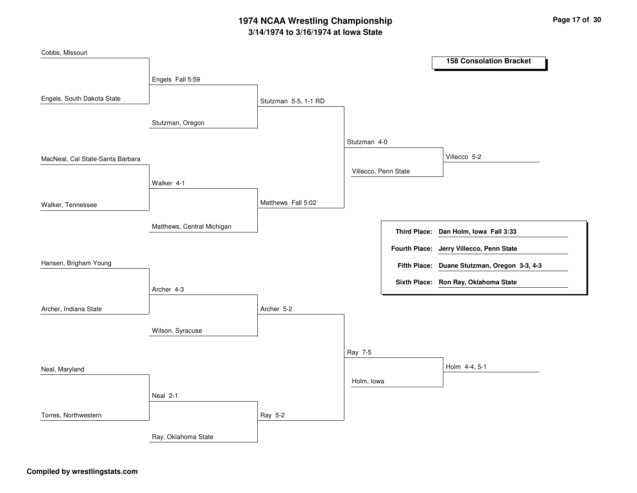# **3/14/1974 to 3/16/1974 at Iowa State 1974 NCAA Wrestling Championship Page <sup>17</sup> of <sup>30</sup>**

| Cobbs, Missouri                  |                            |                      |                      |                     |                                              |
|----------------------------------|----------------------------|----------------------|----------------------|---------------------|----------------------------------------------|
|                                  |                            |                      |                      |                     | <b>158 Consolation Bracket</b>               |
|                                  | Engels Fall 5:59           |                      |                      |                     |                                              |
| Engels, South Dakota State       |                            |                      |                      |                     |                                              |
|                                  |                            | Stutzman 5-5, 1-1 RD |                      |                     |                                              |
|                                  | Stutzman, Oregon           |                      |                      |                     |                                              |
|                                  |                            |                      |                      |                     |                                              |
|                                  |                            |                      | Stutzman 4-0         |                     |                                              |
| MacNeal, Cal State-Santa Barbara |                            |                      |                      |                     | Villecco 5-2                                 |
|                                  |                            |                      | Villecco, Penn State |                     |                                              |
|                                  | Walker 4-1                 |                      |                      |                     |                                              |
| Walker, Tennessee                |                            | Matthews Fall 5:02   |                      |                     |                                              |
|                                  |                            |                      |                      |                     |                                              |
|                                  | Matthews, Central Michigan |                      |                      | <b>Third Place:</b> | Dan Holm, Iowa Fall 3:33                     |
|                                  |                            |                      |                      |                     | Fourth Place: Jerry Villecco, Penn State     |
| Hansen, Brigham Young            |                            |                      |                      |                     |                                              |
|                                  |                            |                      |                      |                     | Fifth Place: Duane Stutzman, Oregon 3-3, 4-3 |
|                                  | Archer 4-3                 |                      |                      |                     | Sixth Place: Ron Ray, Oklahoma State         |
|                                  |                            |                      |                      |                     |                                              |
| Archer, Indiana State            |                            | Archer 5-2           |                      |                     |                                              |
|                                  | Wilson, Syracuse           |                      |                      |                     |                                              |
|                                  |                            |                      |                      |                     |                                              |
|                                  |                            |                      | Ray 7-5              |                     |                                              |
| Neal, Maryland                   |                            |                      |                      |                     | Holm 4-4, 5-1                                |
|                                  |                            |                      | Holm, Iowa           |                     |                                              |
|                                  | Neal 2-1                   |                      |                      |                     |                                              |
|                                  |                            |                      |                      |                     |                                              |
| Torres, Northwestern             |                            | Ray 5-2              |                      |                     |                                              |
|                                  | Ray, Oklahoma State        |                      |                      |                     |                                              |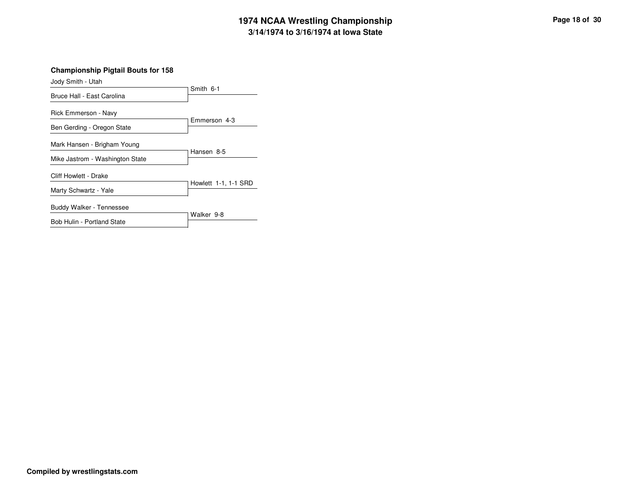# **3/14/1974 to 3/16/1974 at Iowa State 1974 NCAA Wrestling Championship Page <sup>18</sup> of <sup>30</sup>**

| <b>Championship Pigtail Bouts for 158</b><br>Jody Smith - Utah |                      |
|----------------------------------------------------------------|----------------------|
| Bruce Hall - East Carolina                                     | Smith 6-1            |
|                                                                |                      |
| Rick Emmerson - Navy                                           |                      |
| Ben Gerding - Oregon State                                     | Emmerson 4-3         |
| Mark Hansen - Brigham Young                                    | Hansen 8-5           |
| Mike Jastrom - Washington State                                |                      |
| Cliff Howlett - Drake                                          | Howlett 1-1, 1-1 SRD |
| Marty Schwartz - Yale                                          |                      |
| Buddy Walker - Tennessee                                       | Walker 9-8           |
| Bob Hulin - Portland State                                     |                      |
|                                                                |                      |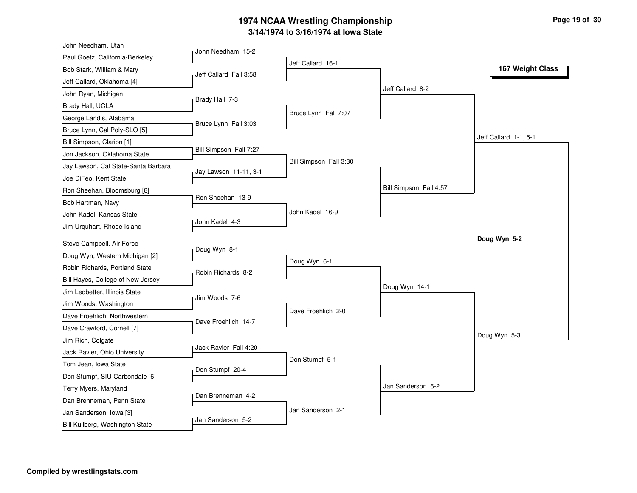# **3/14/1974 to 3/16/1974 at Iowa State 1974 NCAA Wrestling Championship Page <sup>19</sup> of <sup>30</sup>**

| John Needham, Utah                  |                        |                        |                        |                       |
|-------------------------------------|------------------------|------------------------|------------------------|-----------------------|
| Paul Goetz, California-Berkeley     | John Needham 15-2      |                        |                        |                       |
| Bob Stark, William & Mary           | Jeff Callard Fall 3:58 | Jeff Callard 16-1      |                        | 167 Weight Class      |
| Jeff Callard, Oklahoma [4]          |                        |                        |                        |                       |
| John Ryan, Michigan                 |                        |                        | Jeff Callard 8-2       |                       |
| Brady Hall, UCLA                    | Brady Hall 7-3         |                        |                        |                       |
| George Landis, Alabama              |                        | Bruce Lynn Fall 7:07   |                        |                       |
| Bruce Lynn, Cal Poly-SLO [5]        | Bruce Lynn Fall 3:03   |                        |                        |                       |
| Bill Simpson, Clarion [1]           |                        |                        |                        | Jeff Callard 1-1, 5-1 |
| Jon Jackson, Oklahoma State         | Bill Simpson Fall 7:27 |                        |                        |                       |
| Jay Lawson, Cal State-Santa Barbara |                        | Bill Simpson Fall 3:30 |                        |                       |
| Joe DiFeo, Kent State               | Jay Lawson 11-11, 3-1  |                        |                        |                       |
| Ron Sheehan, Bloomsburg [8]         |                        |                        | Bill Simpson Fall 4:57 |                       |
| Bob Hartman, Navy                   | Ron Sheehan 13-9       |                        |                        |                       |
| John Kadel, Kansas State            |                        | John Kadel 16-9        |                        |                       |
| Jim Urquhart, Rhode Island          | John Kadel 4-3         |                        |                        |                       |
| Steve Campbell, Air Force           |                        |                        |                        | Doug Wyn 5-2          |
| Doug Wyn, Western Michigan [2]      | Doug Wyn 8-1           |                        |                        |                       |
| Robin Richards, Portland State      |                        | Doug Wyn 6-1           |                        |                       |
| Bill Hayes, College of New Jersey   | Robin Richards 8-2     |                        |                        |                       |
| Jim Ledbetter, Illinois State       |                        |                        | Doug Wyn 14-1          |                       |
| Jim Woods, Washington               | Jim Woods 7-6          |                        |                        |                       |
| Dave Froehlich, Northwestern        |                        | Dave Froehlich 2-0     |                        |                       |
| Dave Crawford, Cornell [7]          | Dave Froehlich 14-7    |                        |                        |                       |
| Jim Rich, Colgate                   |                        |                        |                        | Doug Wyn 5-3          |
| Jack Ravier, Ohio University        | Jack Ravier Fall 4:20  |                        |                        |                       |
| Tom Jean, Iowa State                |                        | Don Stumpf 5-1         |                        |                       |
| Don Stumpf, SIU-Carbondale [6]      | Don Stumpf 20-4        |                        |                        |                       |
| Terry Myers, Maryland               |                        |                        | Jan Sanderson 6-2      |                       |
| Dan Brenneman, Penn State           | Dan Brenneman 4-2      |                        |                        |                       |
| Jan Sanderson, Iowa [3]             |                        | Jan Sanderson 2-1      |                        |                       |
| Bill Kullberg, Washington State     | Jan Sanderson 5-2      |                        |                        |                       |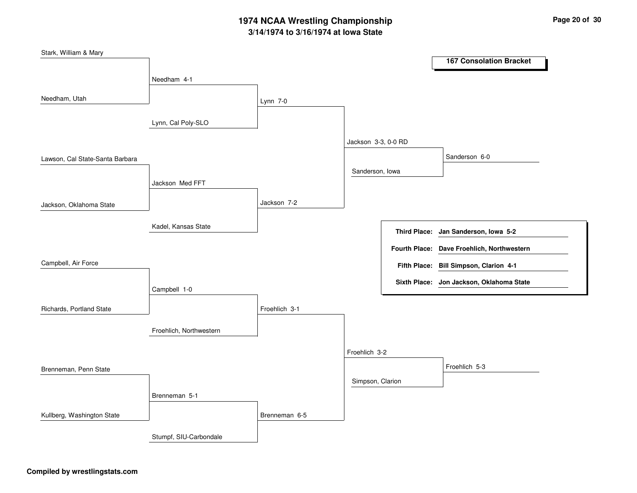# **3/14/1974 to 3/16/1974 at Iowa State 1974 NCAA Wrestling Championship Page <sup>20</sup> of <sup>30</sup>**

| Stark, William & Mary           |                         |               |                     |                                            |
|---------------------------------|-------------------------|---------------|---------------------|--------------------------------------------|
|                                 |                         |               |                     | <b>167 Consolation Bracket</b>             |
|                                 | Needham 4-1             |               |                     |                                            |
|                                 |                         |               |                     |                                            |
| Needham, Utah                   |                         | Lynn 7-0      |                     |                                            |
|                                 |                         |               |                     |                                            |
|                                 | Lynn, Cal Poly-SLO      |               |                     |                                            |
|                                 |                         |               | Jackson 3-3, 0-0 RD |                                            |
|                                 |                         |               |                     | Sanderson 6-0                              |
| Lawson, Cal State-Santa Barbara |                         |               |                     |                                            |
|                                 |                         |               | Sanderson, Iowa     |                                            |
|                                 | Jackson Med FFT         |               |                     |                                            |
|                                 |                         | Jackson 7-2   |                     |                                            |
| Jackson, Oklahoma State         |                         |               |                     |                                            |
|                                 | Kadel, Kansas State     |               |                     |                                            |
|                                 |                         |               |                     | Third Place: Jan Sanderson, Iowa 5-2       |
|                                 |                         |               |                     | Fourth Place: Dave Froehlich, Northwestern |
| Campbell, Air Force             |                         |               |                     |                                            |
|                                 |                         |               |                     | Fifth Place: Bill Simpson, Clarion 4-1     |
|                                 |                         |               |                     | Sixth Place: Jon Jackson, Oklahoma State   |
|                                 | Campbell 1-0            |               |                     |                                            |
| Richards, Portland State        |                         | Froehlich 3-1 |                     |                                            |
|                                 |                         |               |                     |                                            |
|                                 | Froehlich, Northwestern |               |                     |                                            |
|                                 |                         |               |                     |                                            |
|                                 |                         |               | Froehlich 3-2       |                                            |
| Brenneman, Penn State           |                         |               |                     | Froehlich 5-3                              |
|                                 |                         |               | Simpson, Clarion    |                                            |
|                                 | Brenneman 5-1           |               |                     |                                            |
|                                 |                         |               |                     |                                            |
| Kullberg, Washington State      |                         | Brenneman 6-5 |                     |                                            |
|                                 |                         |               |                     |                                            |
|                                 | Stumpf, SIU-Carbondale  |               |                     |                                            |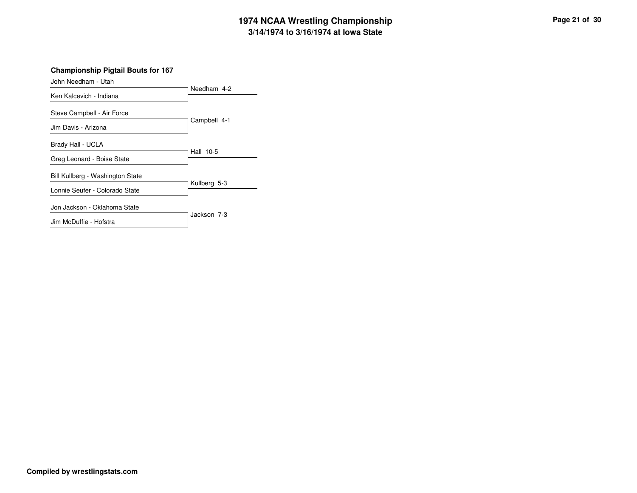# **3/14/1974 to 3/16/1974 at Iowa State 1974 NCAA Wrestling Championship Page <sup>21</sup> of <sup>30</sup>**

**Championship Pigtail Bouts for 167**

| John Needham - Utah              |              |
|----------------------------------|--------------|
| Ken Kalcevich - Indiana          | Needham 4-2  |
| Steve Campbell - Air Force       |              |
| Jim Davis - Arizona              | Campbell 4-1 |
| Brady Hall - UCLA                |              |
| Greg Leonard - Boise State       | Hall 10-5    |
| Bill Kullberg - Washington State |              |
| Lonnie Seufer - Colorado State   | Kullberg 5-3 |
| Jon Jackson - Oklahoma State     |              |
| Jim McDuffie - Hofstra           | Jackson 7-3  |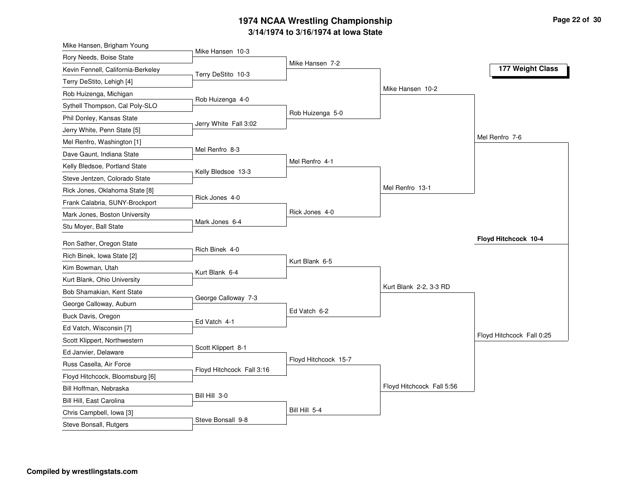#### **3/14/1974 to 3/16/1974 at Iowa State 1974 NCAA Wrestling Championship Page <sup>22</sup> of <sup>30</sup>**

| Mike Hansen, Brigham Young         |                           |                      |                           |                           |
|------------------------------------|---------------------------|----------------------|---------------------------|---------------------------|
| Rory Needs, Boise State            | Mike Hansen 10-3          |                      |                           |                           |
| Kevin Fennell, California-Berkeley | Terry DeStito 10-3        | Mike Hansen 7-2      |                           | 177 Weight Class          |
| Terry DeStito, Lehigh [4]          |                           |                      |                           |                           |
| Rob Huizenga, Michigan             |                           |                      | Mike Hansen 10-2          |                           |
| Sythell Thompson, Cal Poly-SLO     | Rob Huizenga 4-0          |                      |                           |                           |
| Phil Donley, Kansas State          |                           | Rob Huizenga 5-0     |                           |                           |
| Jerry White, Penn State [5]        | Jerry White Fall 3:02     |                      |                           |                           |
| Mel Renfro, Washington [1]         |                           |                      |                           | Mel Renfro 7-6            |
| Dave Gaunt, Indiana State          | Mel Renfro 8-3            |                      |                           |                           |
| Kelly Bledsoe, Portland State      |                           | Mel Renfro 4-1       |                           |                           |
| Steve Jentzen, Colorado State      | Kelly Bledsoe 13-3        |                      |                           |                           |
| Rick Jones, Oklahoma State [8]     |                           |                      | Mel Renfro 13-1           |                           |
| Frank Calabria, SUNY-Brockport     | Rick Jones 4-0            |                      |                           |                           |
| Mark Jones, Boston University      |                           | Rick Jones 4-0       |                           |                           |
| Stu Moyer, Ball State              | Mark Jones 6-4            |                      |                           |                           |
| Ron Sather, Oregon State           |                           |                      |                           | Floyd Hitchcock 10-4      |
| Rich Binek, Iowa State [2]         | Rich Binek 4-0            |                      |                           |                           |
| Kim Bowman, Utah                   |                           | Kurt Blank 6-5       |                           |                           |
| Kurt Blank, Ohio University        | Kurt Blank 6-4            |                      |                           |                           |
| Bob Shamakian, Kent State          |                           |                      | Kurt Blank 2-2, 3-3 RD    |                           |
| George Calloway, Auburn            | George Calloway 7-3       |                      |                           |                           |
| Buck Davis, Oregon                 |                           | Ed Vatch 6-2         |                           |                           |
| Ed Vatch, Wisconsin [7]            | Ed Vatch 4-1              |                      |                           |                           |
| Scott Klippert, Northwestern       |                           |                      |                           | Floyd Hitchcock Fall 0:25 |
| Ed Janvier, Delaware               | Scott Klippert 8-1        |                      |                           |                           |
|                                    |                           | Floyd Hitchcock 15-7 |                           |                           |
| Russ Casella, Air Force            | Floyd Hitchcock Fall 3:16 |                      |                           |                           |
| Floyd Hitchcock, Bloomsburg [6]    |                           |                      | Floyd Hitchcock Fall 5:56 |                           |
| Bill Hoffman, Nebraska             | Bill Hill 3-0             |                      |                           |                           |
| Bill Hill, East Carolina           |                           | Bill Hill 5-4        |                           |                           |
| Chris Campbell, Iowa [3]           | Steve Bonsall 9-8         |                      |                           |                           |
| Steve Bonsall, Rutgers             |                           |                      |                           |                           |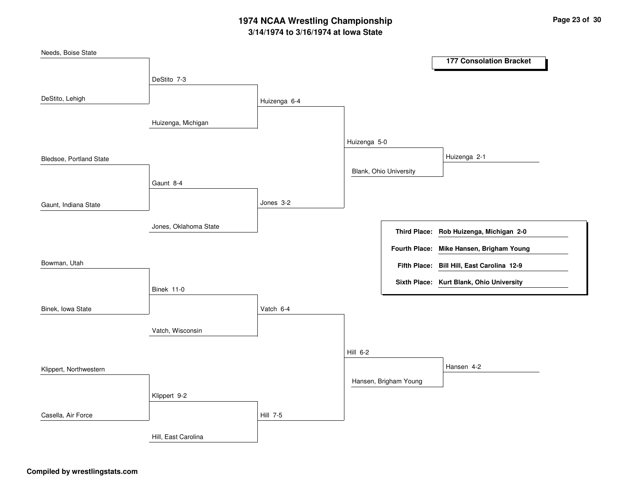# **3/14/1974 to 3/16/1974 at Iowa State 1974 NCAA Wrestling Championship Page <sup>23</sup> of <sup>30</sup>**

| Needs, Boise State      |                       |                 |              |                        |                                            |
|-------------------------|-----------------------|-----------------|--------------|------------------------|--------------------------------------------|
|                         |                       |                 |              |                        | <b>177 Consolation Bracket</b>             |
|                         | DeStito 7-3           |                 |              |                        |                                            |
|                         |                       |                 |              |                        |                                            |
| DeStito, Lehigh         |                       | Huizenga 6-4    |              |                        |                                            |
|                         | Huizenga, Michigan    |                 |              |                        |                                            |
|                         |                       |                 | Huizenga 5-0 |                        |                                            |
| Bledsoe, Portland State |                       |                 |              |                        | Huizenga 2-1                               |
|                         |                       |                 |              | Blank, Ohio University |                                            |
|                         | Gaunt 8-4             |                 |              |                        |                                            |
|                         |                       | Jones 3-2       |              |                        |                                            |
| Gaunt, Indiana State    |                       |                 |              |                        |                                            |
|                         | Jones, Oklahoma State |                 |              |                        |                                            |
|                         |                       |                 |              |                        | Third Place: Rob Huizenga, Michigan 2-0    |
|                         |                       |                 |              | <b>Fourth Place:</b>   | Mike Hansen, Brigham Young                 |
| Bowman, Utah            |                       |                 |              |                        | Fifth Place: Bill Hill, East Carolina 12-9 |
|                         |                       |                 |              |                        | Sixth Place: Kurt Blank, Ohio University   |
|                         | Binek 11-0            |                 |              |                        |                                            |
| Binek, Iowa State       |                       | Vatch 6-4       |              |                        |                                            |
|                         |                       |                 |              |                        |                                            |
|                         | Vatch, Wisconsin      |                 |              |                        |                                            |
|                         |                       |                 |              |                        |                                            |
|                         |                       |                 | Hill 6-2     |                        |                                            |
| Klippert, Northwestern  |                       |                 |              |                        | Hansen 4-2                                 |
|                         |                       |                 |              | Hansen, Brigham Young  |                                            |
|                         | Klippert 9-2          |                 |              |                        |                                            |
| Casella, Air Force      |                       | <b>Hill 7-5</b> |              |                        |                                            |
|                         |                       |                 |              |                        |                                            |
|                         | Hill, East Carolina   |                 |              |                        |                                            |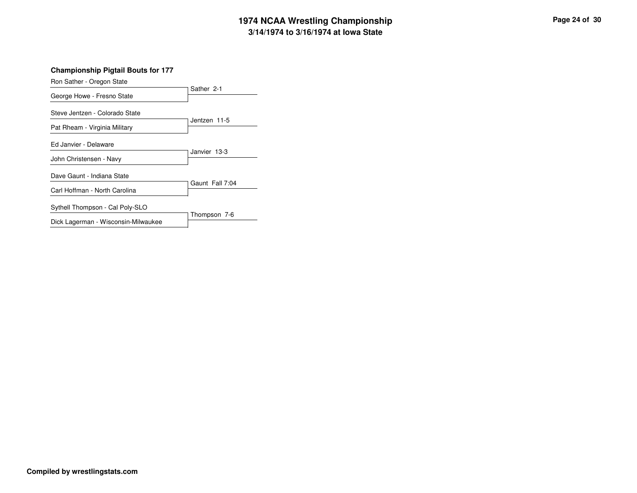# **3/14/1974 to 3/16/1974 at Iowa State 1974 NCAA Wrestling Championship Page <sup>24</sup> of <sup>30</sup>**

| Ron Sather - Oregon State           |                 |  |  |
|-------------------------------------|-----------------|--|--|
| George Howe - Fresno State          | Sather 2-1      |  |  |
| Steve Jentzen - Colorado State      |                 |  |  |
| Pat Rheam - Virginia Military       | Jentzen 11-5    |  |  |
| Ed Janvier - Delaware               |                 |  |  |
| John Christensen - Navy             | Janvier 13-3    |  |  |
| Dave Gaunt - Indiana State          |                 |  |  |
| Carl Hoffman - North Carolina       | Gaunt Fall 7:04 |  |  |
| Sythell Thompson - Cal Poly-SLO     |                 |  |  |
| Dick Lagerman - Wisconsin-Milwaukee | Thompson 7-6    |  |  |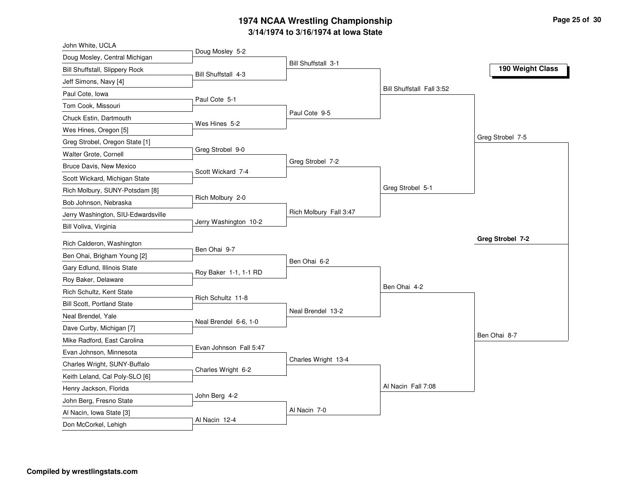#### **3/14/1974 to 3/16/1974 at Iowa State 1974 NCAA Wrestling Championship Page <sup>25</sup> of <sup>30</sup>**

| John White, UCLA                   |                        |                        |                           |                  |
|------------------------------------|------------------------|------------------------|---------------------------|------------------|
| Doug Mosley, Central Michigan      | Doug Mosley 5-2        | Bill Shuffstall 3-1    |                           |                  |
| Bill Shuffstall, Slippery Rock     | Bill Shuffstall 4-3    |                        |                           | 190 Weight Class |
| Jeff Simons, Navy [4]              |                        |                        |                           |                  |
| Paul Cote, Iowa                    |                        |                        | Bill Shuffstall Fall 3:52 |                  |
| Tom Cook, Missouri                 | Paul Cote 5-1          |                        |                           |                  |
| Chuck Estin, Dartmouth             |                        | Paul Cote 9-5          |                           |                  |
| Wes Hines, Oregon [5]              | Wes Hines 5-2          |                        |                           |                  |
| Greg Strobel, Oregon State [1]     |                        |                        |                           | Greg Strobel 7-5 |
| Walter Grote, Cornell              | Greg Strobel 9-0       |                        |                           |                  |
| Bruce Davis, New Mexico            |                        | Greg Strobel 7-2       |                           |                  |
| Scott Wickard, Michigan State      | Scott Wickard 7-4      |                        |                           |                  |
| Rich Molbury, SUNY-Potsdam [8]     |                        |                        | Greg Strobel 5-1          |                  |
| Bob Johnson, Nebraska              | Rich Molbury 2-0       |                        |                           |                  |
| Jerry Washington, SIU-Edwardsville |                        | Rich Molbury Fall 3:47 |                           |                  |
| Bill Voliva, Virginia              | Jerry Washington 10-2  |                        |                           |                  |
| Rich Calderon, Washington          |                        |                        |                           | Greg Strobel 7-2 |
| Ben Ohai, Brigham Young [2]        | Ben Ohai 9-7           |                        |                           |                  |
| Gary Edlund, Illinois State        |                        | Ben Ohai 6-2           |                           |                  |
| Roy Baker, Delaware                | Roy Baker 1-1, 1-1 RD  |                        |                           |                  |
| Rich Schultz, Kent State           |                        |                        | Ben Ohai 4-2              |                  |
| Bill Scott, Portland State         | Rich Schultz 11-8      |                        |                           |                  |
| Neal Brendel, Yale                 |                        | Neal Brendel 13-2      |                           |                  |
| Dave Curby, Michigan [7]           | Neal Brendel 6-6, 1-0  |                        |                           |                  |
| Mike Radford, East Carolina        |                        |                        |                           | Ben Ohai 8-7     |
| Evan Johnson, Minnesota            | Evan Johnson Fall 5:47 |                        |                           |                  |
| Charles Wright, SUNY-Buffalo       |                        | Charles Wright 13-4    |                           |                  |
| Keith Leland, Cal Poly-SLO [6]     | Charles Wright 6-2     |                        |                           |                  |
| Henry Jackson, Florida             |                        |                        | Al Nacin Fall 7:08        |                  |
| John Berg, Fresno State            | John Berg 4-2          |                        |                           |                  |
|                                    |                        |                        |                           |                  |
| Al Nacin, Iowa State [3]           |                        | Al Nacin 7-0           |                           |                  |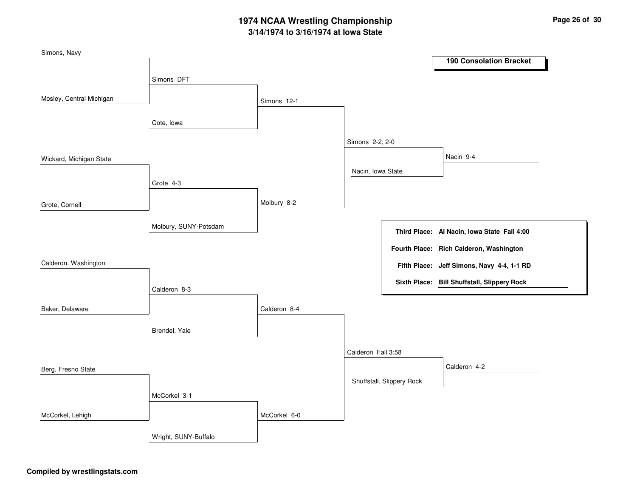# **3/14/1974 to 3/16/1974 at Iowa State 1974 NCAA Wrestling Championship Page <sup>26</sup> of <sup>30</sup>**

| Simons, Navy             |                       |              |                    |                           |                                             |
|--------------------------|-----------------------|--------------|--------------------|---------------------------|---------------------------------------------|
|                          |                       |              |                    |                           | <b>190 Consolation Bracket</b>              |
|                          | Simons DFT            |              |                    |                           |                                             |
|                          |                       |              |                    |                           |                                             |
| Mosley, Central Michigan |                       | Simons 12-1  |                    |                           |                                             |
|                          | Cote, Iowa            |              |                    |                           |                                             |
|                          |                       |              |                    |                           |                                             |
|                          |                       |              | Simons 2-2, 2-0    |                           |                                             |
| Wickard, Michigan State  |                       |              |                    |                           | Nacin 9-4                                   |
|                          |                       |              | Nacin, Iowa State  |                           |                                             |
|                          | Grote 4-3             |              |                    |                           |                                             |
|                          |                       | Molbury 8-2  |                    |                           |                                             |
| Grote, Cornell           |                       |              |                    |                           |                                             |
|                          | Molbury, SUNY-Potsdam |              |                    |                           |                                             |
|                          |                       |              |                    |                           | Third Place: Al Nacin, Iowa State Fall 4:00 |
|                          |                       |              |                    |                           | Fourth Place: Rich Calderon, Washington     |
| Calderon, Washington     |                       |              |                    |                           | Fifth Place: Jeff Simons, Navy 4-4, 1-1 RD  |
|                          |                       |              |                    |                           | Sixth Place: Bill Shuffstall, Slippery Rock |
|                          | Calderon 8-3          |              |                    |                           |                                             |
| Baker, Delaware          |                       | Calderon 8-4 |                    |                           |                                             |
|                          |                       |              |                    |                           |                                             |
|                          | Brendel, Yale         |              |                    |                           |                                             |
|                          |                       |              |                    |                           |                                             |
|                          |                       |              | Calderon Fall 3:58 |                           |                                             |
| Berg, Fresno State       |                       |              |                    |                           | Calderon 4-2                                |
|                          |                       |              |                    | Shuffstall, Slippery Rock |                                             |
|                          | McCorkel 3-1          |              |                    |                           |                                             |
|                          |                       |              |                    |                           |                                             |
| McCorkel, Lehigh         |                       | McCorkel 6-0 |                    |                           |                                             |
|                          | Wright, SUNY-Buffalo  |              |                    |                           |                                             |
|                          |                       |              |                    |                           |                                             |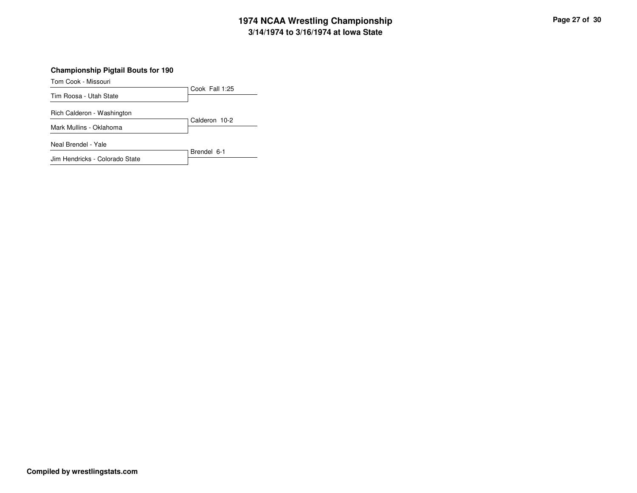# **3/14/1974 to 3/16/1974 at Iowa State 1974 NCAA Wrestling Championship Page <sup>27</sup> of <sup>30</sup>**

#### **Championship Pigtail Bouts for 190**

Tom Cook - Missouri

Cook Fall 1:25 Tim Roosa - Utah State

Rich Calderon - Washington

Calderon 10-2 Mark Mullins - Oklahoma

Neal Brendel - Yale

Brendel 6-1 Jim Hendricks - Colorado State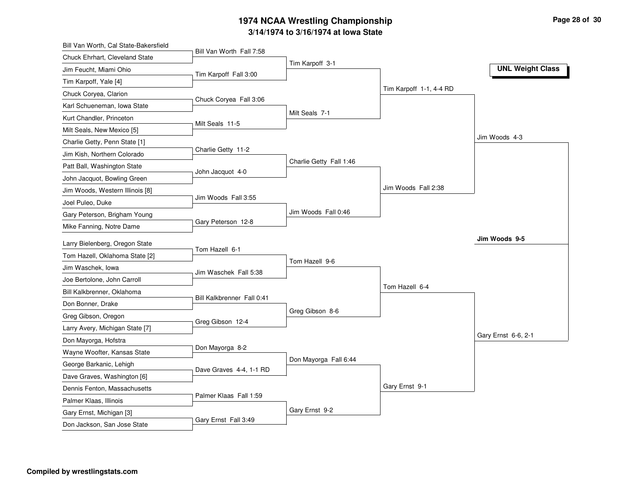#### **3/14/1974 to 3/16/1974 at Iowa State 1974 NCAA Wrestling Championship Page <sup>28</sup> of <sup>30</sup>**

| Bill Van Worth, Cal State-Bakersfield |                            |                         |                         |                         |
|---------------------------------------|----------------------------|-------------------------|-------------------------|-------------------------|
| Chuck Ehrhart, Cleveland State        | Bill Van Worth Fall 7:58   |                         |                         |                         |
| Jim Feucht, Miami Ohio                | Tim Karpoff Fall 3:00      | Tim Karpoff 3-1         |                         | <b>UNL Weight Class</b> |
| Tim Karpoff, Yale [4]                 |                            |                         |                         |                         |
| Chuck Coryea, Clarion                 |                            |                         | Tim Karpoff 1-1, 4-4 RD |                         |
| Karl Schueneman, Iowa State           | Chuck Coryea Fall 3:06     |                         |                         |                         |
| Kurt Chandler, Princeton              |                            | Milt Seals 7-1          |                         |                         |
| Milt Seals, New Mexico [5]            | Milt Seals 11-5            |                         |                         |                         |
| Charlie Getty, Penn State [1]         |                            |                         |                         | Jim Woods 4-3           |
| Jim Kish, Northern Colorado           | Charlie Getty 11-2         |                         |                         |                         |
| Patt Ball, Washington State           |                            | Charlie Getty Fall 1:46 |                         |                         |
| John Jacquot, Bowling Green           | John Jacquot 4-0           |                         |                         |                         |
| Jim Woods, Western Illinois [8]       |                            |                         | Jim Woods Fall 2:38     |                         |
| Joel Puleo, Duke                      | Jim Woods Fall 3:55        |                         |                         |                         |
| Gary Peterson, Brigham Young          |                            | Jim Woods Fall 0:46     |                         |                         |
| Mike Fanning, Notre Dame              | Gary Peterson 12-8         |                         |                         |                         |
| Larry Bielenberg, Oregon State        |                            |                         |                         | Jim Woods 9-5           |
| Tom Hazell, Oklahoma State [2]        | Tom Hazell 6-1             |                         |                         |                         |
| Jim Waschek, lowa                     |                            | Tom Hazell 9-6          |                         |                         |
| Joe Bertolone, John Carroll           | Jim Waschek Fall 5:38      |                         |                         |                         |
| Bill Kalkbrenner, Oklahoma            |                            |                         | Tom Hazell 6-4          |                         |
| Don Bonner, Drake                     | Bill Kalkbrenner Fall 0:41 |                         |                         |                         |
| Greg Gibson, Oregon                   |                            | Greg Gibson 8-6         |                         |                         |
| Larry Avery, Michigan State [7]       | Greg Gibson 12-4           |                         |                         |                         |
| Don Mayorga, Hofstra                  |                            |                         |                         | Gary Ernst 6-6, 2-1     |
| Wayne Woofter, Kansas State           | Don Mayorga 8-2            |                         |                         |                         |
| George Barkanic, Lehigh               |                            | Don Mayorga Fall 6:44   |                         |                         |
| Dave Graves, Washington [6]           | Dave Graves 4-4, 1-1 RD    |                         |                         |                         |
| Dennis Fenton, Massachusetts          |                            |                         | Gary Ernst 9-1          |                         |
| Palmer Klaas, Illinois                | Palmer Klaas Fall 1:59     |                         |                         |                         |
| Gary Ernst, Michigan [3]              |                            | Gary Ernst 9-2          |                         |                         |
| Don Jackson, San Jose State           | Gary Ernst Fall 3:49       |                         |                         |                         |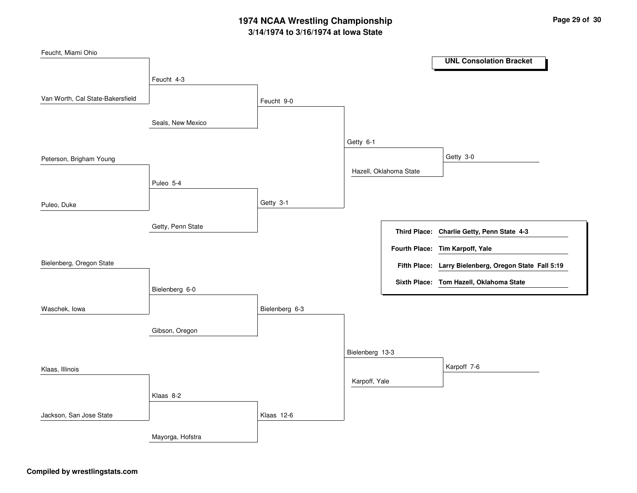# **3/14/1974 to 3/16/1974 at Iowa State 1974 NCAA Wrestling Championship Page <sup>29</sup> of <sup>30</sup>**

| Feucht, Miami Ohio               |                   |                |                 |                        |                                                       |
|----------------------------------|-------------------|----------------|-----------------|------------------------|-------------------------------------------------------|
|                                  |                   |                |                 |                        | <b>UNL Consolation Bracket</b>                        |
|                                  | Feucht 4-3        |                |                 |                        |                                                       |
| Van Worth, Cal State-Bakersfield |                   | Feucht 9-0     |                 |                        |                                                       |
|                                  | Seals, New Mexico |                |                 |                        |                                                       |
|                                  |                   |                | Getty 6-1       |                        |                                                       |
| Peterson, Brigham Young          |                   |                |                 |                        | Getty 3-0                                             |
|                                  | Puleo 5-4         |                |                 | Hazell, Oklahoma State |                                                       |
| Puleo, Duke                      |                   | Getty 3-1      |                 |                        |                                                       |
|                                  | Getty, Penn State |                |                 |                        | Third Place: Charlie Getty, Penn State 4-3            |
|                                  |                   |                |                 |                        | Fourth Place: Tim Karpoff, Yale                       |
| Bielenberg, Oregon State         |                   |                |                 |                        | Fifth Place: Larry Bielenberg, Oregon State Fall 5:19 |
|                                  | Bielenberg 6-0    |                |                 |                        | Sixth Place: Tom Hazell, Oklahoma State               |
| Waschek, lowa                    |                   | Bielenberg 6-3 |                 |                        |                                                       |
|                                  | Gibson, Oregon    |                |                 |                        |                                                       |
|                                  |                   |                | Bielenberg 13-3 |                        |                                                       |
| Klaas, Illinois                  |                   |                |                 |                        | Karpoff 7-6                                           |
|                                  | Klaas 8-2         |                | Karpoff, Yale   |                        |                                                       |
|                                  |                   |                |                 |                        |                                                       |
| Jackson, San Jose State          |                   | Klaas 12-6     |                 |                        |                                                       |
|                                  | Mayorga, Hofstra  |                |                 |                        |                                                       |